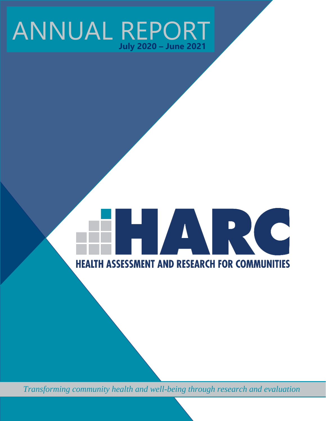## ANNUAL REPORT **July 2020 – June 2021**

# **TARC HEALTH ASSESSMENT AND RESEARCH FOR COMMUNITIES**

*Transforming community health and well-being through research and evaluation*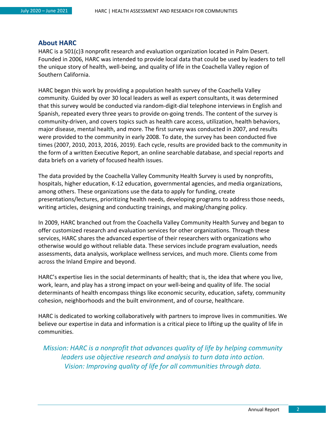#### <span id="page-1-0"></span>**About HARC**

HARC is a 501(c)3 nonprofit research and evaluation organization located in Palm Desert. Founded in 2006, HARC was intended to provide local data that could be used by leaders to tell the unique story of health, well-being, and quality of life in the Coachella Valley region of Southern California.

HARC began this work by providing a population health survey of the Coachella Valley community. Guided by over 30 local leaders as well as expert consultants, it was determined that this survey would be conducted via random-digit-dial telephone interviews in English and Spanish, repeated every three years to provide on-going trends. The content of the survey is community-driven, and covers topics such as health care access, utilization, health behaviors, major disease, mental health, and more. The first survey was conducted in 2007, and results were provided to the community in early 2008. To date, the survey has been conducted five times (2007, 2010, 2013, 2016, 2019). Each cycle, results are provided back to the community in the form of a written Executive Report, an online searchable database, and special reports and data briefs on a variety of focused health issues.

The data provided by the Coachella Valley Community Health Survey is used by nonprofits, hospitals, higher education, K-12 education, governmental agencies, and media organizations, among others. These organizations use the data to apply for funding, create presentations/lectures, prioritizing health needs, developing programs to address those needs, writing articles, designing and conducting trainings, and making/changing policy.

In 2009, HARC branched out from the Coachella Valley Community Health Survey and began to offer customized research and evaluation services for other organizations. Through these services, HARC shares the advanced expertise of their researchers with organizations who otherwise would go without reliable data. These services include program evaluation, needs assessments, data analysis, workplace wellness services, and much more. Clients come from across the Inland Empire and beyond.

HARC's expertise lies in the social determinants of health; that is, the idea that where you live, work, learn, and play has a strong impact on your well-being and quality of life. The social determinants of health encompass things like economic security, education, safety, community cohesion, neighborhoods and the built environment, and of course, healthcare.

HARC is dedicated to working collaboratively with partners to improve lives in communities. We believe our expertise in data and information is a critical piece to lifting up the quality of life in communities.

*Mission: HARC is a nonprofit that advances quality of life by helping community leaders use objective research and analysis to turn data into action. Vision: Improving quality of life for all communities through data.*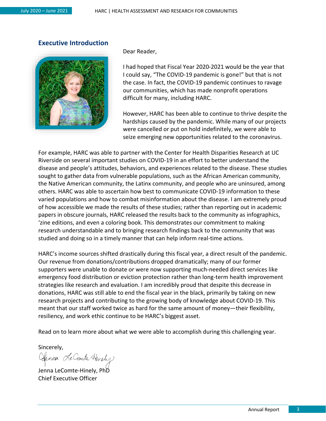#### <span id="page-2-0"></span>**Executive Introduction**



Dear Reader,

I had hoped that Fiscal Year 2020-2021 would be the year that I could say, "The COVID-19 pandemic is gone!" but that is not the case. In fact, the COVID-19 pandemic continues to ravage our communities, which has made nonprofit operations difficult for many, including HARC.

However, HARC has been able to continue to thrive despite the hardships caused by the pandemic. While many of our projects were cancelled or put on hold indefinitely, we were able to seize emerging new opportunities related to the coronavirus.

For example, HARC was able to partner with the Center for Health Disparities Research at UC Riverside on several important studies on COVID-19 in an effort to better understand the disease and people's attitudes, behaviors, and experiences related to the disease. These studies sought to gather data from vulnerable populations, such as the African American community, the Native American community, the Latinx community, and people who are uninsured, among others. HARC was able to ascertain how best to communicate COVID-19 information to these varied populations and how to combat misinformation about the disease. I am extremely proud of how accessible we made the results of these studies; rather than reporting out in academic papers in obscure journals, HARC released the results back to the community as infographics, 'zine editions, and even a coloring book. This demonstrates our commitment to making research understandable and to bringing research findings back to the community that was studied and doing so in a timely manner that can help inform real-time actions.

HARC's income sources shifted drastically during this fiscal year, a direct result of the pandemic. Our revenue from donations/contributions dropped dramatically; many of our former supporters were unable to donate or were now supporting much-needed direct services like emergency food distribution or eviction protection rather than long-term health improvement strategies like research and evaluation. I am incredibly proud that despite this decrease in donations, HARC was still able to end the fiscal year in the black, primarily by taking on new research projects and contributing to the growing body of knowledge about COVID-19. This meant that our staff worked twice as hard for the same amount of money—their flexibility, resiliency, and work ethic continue to be HARC's biggest asset.

Read on to learn more about what we were able to accomplish during this challenging year.

Sincerely,

Clenna Le Comte Hinely

Jenna LeComte-Hinely, PhD Chief Executive Officer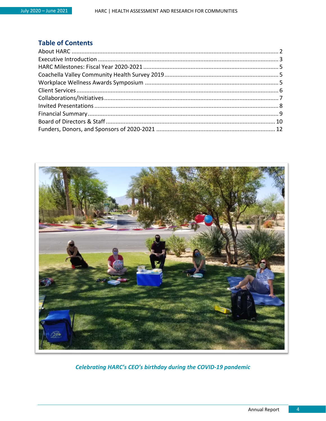#### **Table of Contents**



**Celebrating HARC's CEO's birthday during the COVID-19 pandemic**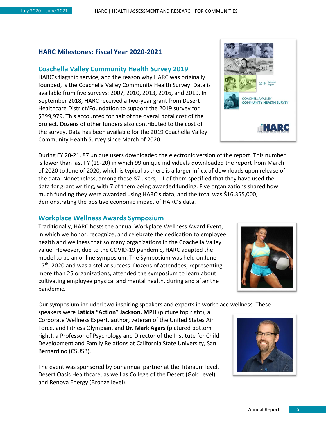#### <span id="page-4-0"></span>**HARC Milestones: Fiscal Year 2020-2021**

#### <span id="page-4-1"></span>**Coachella Valley Community Health Survey 2019**

HARC's flagship service, and the reason why HARC was originally founded, is the Coachella Valley Community Health Survey. Data is available from five surveys: 2007, 2010, 2013, 2016, and 2019. In September 2018, HARC received a two-year grant from Desert Healthcare District/Foundation to support the 2019 survey for \$399,979. This accounted for half of the overall total cost of the project. Dozens of other funders also contributed to the cost of the survey. Data has been available for the 2019 Coachella Valley Community Health Survey since March of 2020.

During FY 20-21, 87 unique users downloaded the electronic version of the report. This number is lower than last FY (19-20) in which 99 unique individuals downloaded the report from March of 2020 to June of 2020, which is typical as there is a larger influx of downloads upon release of the data. Nonetheless, among these 87 users, 11 of them specified that they have used the data for grant writing, with 7 of them being awarded funding. Five organizations shared how much funding they were awarded using HARC's data, and the total was \$16,355,000, demonstrating the positive economic impact of HARC's data.

#### <span id="page-4-2"></span>**Workplace Wellness Awards Symposium**

Traditionally, HARC hosts the annual Workplace Wellness Award Event, in which we honor, recognize, and celebrate the dedication to employee health and wellness that so many organizations in the Coachella Valley value. However, due to the COVID-19 pandemic, HARC adapted the model to be an online symposium. The Symposium was held on June  $17<sup>th</sup>$ , 2020 and was a stellar success. Dozens of attendees, representing more than 25 organizations, attended the symposium to learn about cultivating employee physical and mental health, during and after the pandemic.

Our symposium included two inspiring speakers and experts in workplace wellness. These

speakers were **Laticia "Action" Jackson, MPH** (picture top right), a Corporate Wellness Expert, author, veteran of the United States Air Force, and Fitness Olympian, and **Dr. Mark Agars** (pictured bottom right), a Professor of Psychology and Director of the Institute for Child Development and Family Relations at California State University, San Bernardino (CSUSB).

The event was sponsored by our annual partner at the Titanium level, Desert Oasis Healthcare, as well as College of the Desert (Gold level), and Renova Energy (Bronze level).





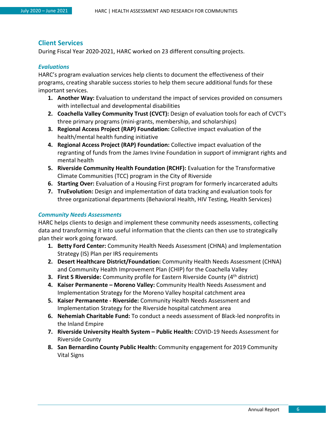#### <span id="page-5-0"></span>**Client Services**

During Fiscal Year 2020-2021, HARC worked on 23 different consulting projects.

#### *Evaluations*

HARC's program evaluation services help clients to document the effectiveness of their programs, creating sharable success stories to help them secure additional funds for these important services.

- **1. Another Way:** Evaluation to understand the impact of services provided on consumers with intellectual and developmental disabilities
- **2. Coachella Valley Community Trust (CVCT):** Design of evaluation tools for each of CVCT's three primary programs (mini-grants, membership, and scholarships)
- **3. Regional Access Project (RAP) Foundation:** Collective impact evaluation of the health/mental health funding initiative
- **4. Regional Access Project (RAP) Foundation:** Collective impact evaluation of the regranting of funds from the James Irvine Foundation in support of immigrant rights and mental health
- **5. Riverside Community Health Foundation (RCHF):** Evaluation for the Transformative Climate Communities (TCC) program in the City of Riverside
- **6. Starting Over:** Evaluation of a Housing First program for formerly incarcerated adults
- **7. TruEvolution:** Design and implementation of data tracking and evaluation tools for three organizational departments (Behavioral Health, HIV Testing, Health Services)

#### *Community Needs Assessments*

HARC helps clients to design and implement these community needs assessments, collecting data and transforming it into useful information that the clients can then use to strategically plan their work going forward.

- **1. Betty Ford Center:** Community Health Needs Assessment (CHNA) and Implementation Strategy (IS) Plan per IRS requirements
- **2. Desert Healthcare District/Foundation:** Community Health Needs Assessment (CHNA) and Community Health Improvement Plan (CHIP) for the Coachella Valley
- **3. First 5 Riverside:** Community profile for Eastern Riverside County (4<sup>th</sup> district)
- **4. Kaiser Permanente – Moreno Valley:** Community Health Needs Assessment and Implementation Strategy for the Moreno Valley hospital catchment area
- **5. Kaiser Permanente - Riverside:** Community Health Needs Assessment and Implementation Strategy for the Riverside hospital catchment area
- **6. Nehemiah Charitable Fund:** To conduct a needs assessment of Black-led nonprofits in the Inland Empire
- **7. Riverside University Health System – Public Health:** COVID-19 Needs Assessment for Riverside County
- **8. San Bernardino County Public Health:** Community engagement for 2019 Community Vital Signs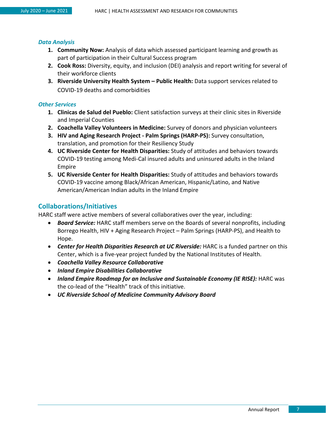#### *Data Analysis*

- **1. Community Now:** Analysis of data which assessed participant learning and growth as part of participation in their Cultural Success program
- **2. Cook Ross:** Diversity, equity, and inclusion (DEI) analysis and report writing for several of their workforce clients
- **3. Riverside University Health System – Public Health:** Data support services related to COVID-19 deaths and comorbidities

#### *Other Services*

- **1. Clinicas de Salud del Pueblo:** Client satisfaction surveys at their clinic sites in Riverside and Imperial Counties
- **2. Coachella Valley Volunteers in Medicine:** Survey of donors and physician volunteers
- **3. HIV and Aging Research Project - Palm Springs (HARP-PS):** Survey consultation, translation, and promotion for their Resiliency Study
- **4. UC Riverside Center for Health Disparities:** Study of attitudes and behaviors towards COVID-19 testing among Medi-Cal insured adults and uninsured adults in the Inland Empire
- **5. UC Riverside Center for Health Disparities:** Study of attitudes and behaviors towards COVID-19 vaccine among Black/African American, Hispanic/Latino, and Native American/American Indian adults in the Inland Empire

#### <span id="page-6-0"></span>**Collaborations/Initiatives**

HARC staff were active members of several collaboratives over the year, including:

- *Board Service:* HARC staff members serve on the Boards of several nonprofits, including Borrego Health, HIV + Aging Research Project – Palm Springs (HARP-PS), and Health to Hope.
- *Center for Health Disparities Research at UC Riverside:* HARC is a funded partner on this Center, which is a five-year project funded by the National Institutes of Health.
- *Coachella Valley Resource Collaborative*
- *Inland Empire Disabilities Collaborative*
- *Inland Empire Roadmap for an Inclusive and Sustainable Economy (IE RISE):* HARC was the co-lead of the "Health" track of this initiative.
- *UC Riverside School of Medicine Community Advisory Board*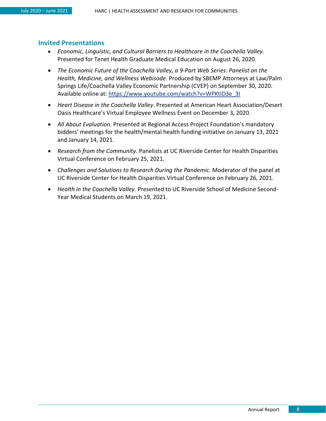#### <span id="page-7-0"></span>**Invited Presentations**

- *Economic, Linguistic, and Cultural Barriers to Healthcare in the Coachella Valley*. Presented for Tenet Health Graduate Medical Education on August 26, 2020.
- *The Economic Future of the Coachella Valley, a 9-Part Web Series: Panelist on the Health, Medicine, and Wellness Webisode*. Produced by SBEMP Attorneys at Law/Palm Springs Life/Coachella Valley Economic Partnership (CVEP) on September 30, 2020. Available online at: [https://www.youtube.com/watch?v=WPKtID3e\\_3I](https://www.youtube.com/watch?v=WPKtID3e_3I)
- *Heart Disease in the Coachella Valley*. Presented at American Heart Association/Desert Oasis Healthcare's Virtual Employee Wellness Event on December 3, 2020.
- *All About Evaluation.* Presented at Regional Access Project Foundation's mandatory bidders' meetings for the health/mental health funding initiative on January 13, 2021 and January 14, 2021.
- *Research from the Community.* Panelists at UC Riverside Center for Health Disparities Virtual Conference on February 25, 2021.
- *Challenges and Solutions to Research During the Pandemic.* Moderator of the panel at UC Riverside Center for Health Disparities Virtual Conference on February 26, 2021.
- *Health in the Coachella Valley.* Presented to UC Riverside School of Medicine Second-Year Medical Students on March 19, 2021.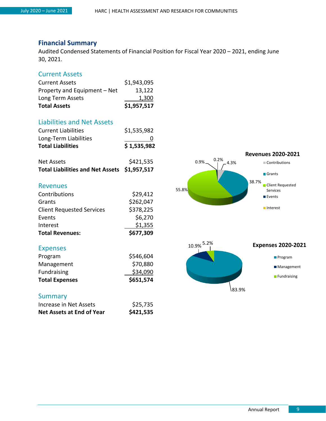#### <span id="page-8-0"></span>**Financial Summary**

Audited Condensed Statements of Financial Position for Fiscal Year 2020 – 2021, ending June 30, 2021.

#### Current Assets

| <b>Total Assets</b>          | \$1,957,517 |
|------------------------------|-------------|
| Long Term Assets             | 1,300       |
| Property and Equipment - Net | 13,122      |
| <b>Current Assets</b>        | \$1,943,095 |

#### Liabilities and Net Assets

| <b>Current Liabilities</b>              | \$1,535,982 |
|-----------------------------------------|-------------|
| Long-Term Liabilities                   |             |
| <b>Total Liabilities</b>                | \$1,535,982 |
| <b>Net Assets</b>                       | \$421,535   |
| <b>Total Liabilities and Net Assets</b> | \$1,957,517 |
| <b>Revenues</b>                         |             |
| Contributions                           | \$29,412    |
| Grants                                  | \$262,047   |
| <b>Client Requested Services</b>        | \$378,225   |
| Events                                  | \$6,270     |
| Interest                                | \$1,355     |
| <b>Total Revenues:</b>                  | \$677,309   |

#### Expenses

| <b>Total Expenses</b> | \$651,574 |
|-----------------------|-----------|
| Fundraising           | \$34,090  |
| Management            | \$70,880  |
| Program               | \$546,604 |

#### **Summary**

| Net Assets at End of Year | \$421,535 |
|---------------------------|-----------|
| Increase in Net Assets    | \$25,735  |

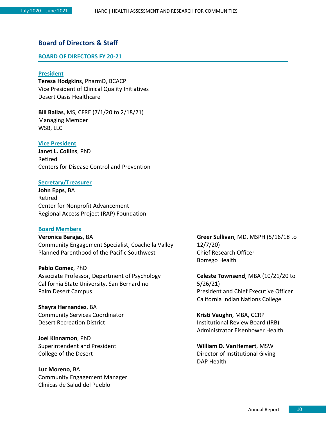#### <span id="page-9-0"></span>**Board of Directors & Staff**

#### **BOARD OF DIRECTORS FY 20-21**

#### **President**

**Teresa Hodgkins**, PharmD, BCACP Vice President of Clinical Quality Initiatives Desert Oasis Healthcare

**Bill Ballas**, MS, CFRE (7/1/20 to 2/18/21) Managing Member WSB, LLC

#### **Vice President**

**Janet L. Collins**, PhD Retired Centers for Disease Control and Prevention

#### **Secretary/Treasurer**

**John Epps**, BA Retired Center for Nonprofit Advancement Regional Access Project (RAP) Foundation

#### **Board Members**

**Veronica Barajas**, BA Community Engagement Specialist, Coachella Valley Planned Parenthood of the Pacific Southwest

**Pablo Gomez**, PhD Associate Professor, Department of Psychology California State University, San Bernardino Palm Desert Campus

**Shayra Hernandez**, BA Community Services Coordinator Desert Recreation District

**Joel Kinnamon**, PhD Superintendent and President College of the Desert

**Luz Moreno**, BA Community Engagement Manager Clinicas de Salud del Pueblo

**Greer Sullivan**, MD, MSPH (5/16/18 to 12/7/20) Chief Research Officer Borrego Health

**Celeste Townsend**, MBA (10/21/20 to 5/26/21) President and Chief Executive Officer California Indian Nations College

**Kristi Vaughn**, MBA, CCRP Institutional Review Board (IRB) Administrator Eisenhower Health

**William D. VanHemert**, MSW Director of Institutional Giving DAP Health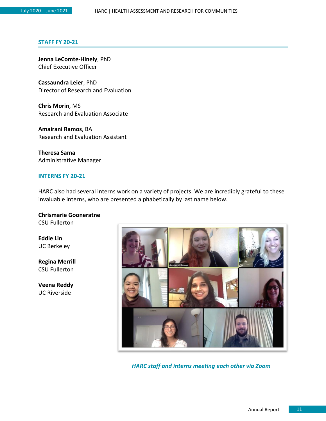#### **STAFF FY 20-21**

**Jenna LeComte-Hinely**, PhD Chief Executive Officer

**Cassaundra Leier**, PhD Director of Research and Evaluation

**Chris Morin**, MS Research and Evaluation Associate

**Amairani Ramos**, BA Research and Evaluation Assistant

**Theresa Sama** Administrative Manager

#### **INTERNS FY 20-21**

HARC also had several interns work on a variety of projects. We are incredibly grateful to these invaluable interns, who are presented alphabetically by last name below.

**Chrismarie Gooneratne**

CSU Fullerton

**Eddie Lin** UC Berkeley

**Regina Merrill** CSU Fullerton

**Veena Reddy** UC Riverside



*HARC staff and interns meeting each other via Zoom*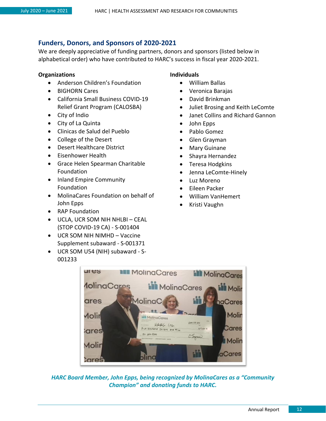#### <span id="page-11-0"></span>**Funders, Donors, and Sponsors of 2020-2021**

We are deeply appreciative of funding partners, donors and sponsors (listed below in alphabetical order) who have contributed to HARC's success in fiscal year 2020-2021.

#### **Organizations**

- Anderson Children's Foundation
- BIGHORN Cares
- California Small Business COVID-19 Relief Grant Program (CALOSBA)
- City of Indio
- City of La Quinta
- Clinicas de Salud del Pueblo
- College of the Desert
- Desert Healthcare District
- Eisenhower Health
- Grace Helen Spearman Charitable Foundation
- Inland Empire Community Foundation
- MolinaCares Foundation on behalf of John Epps
- RAP Foundation
- UCLA, UCR SOM NIH NHLBI CEAL (STOP COVID-19 CA) - S-001404
- UCR SOM NIH NIMHD Vaccine Supplement subaward - S-001371
- UCR SOM U54 (NIH) subaward S-001233

#### **Individuals**

- William Ballas
- Veronica Barajas
- David Brinkman
- Juliet Brosing and Keith LeComte
- Janet Collins and Richard Gannon
- John Epps
- Pablo Gomez
- Glen Grayman
- Mary Guinane
- Shayra Hernandez
- Teresa Hodgkins
- Jenna LeComte-Hinely
- Luz Moreno
- Eileen Packer
- William VanHemert
- Kristi Vaughn



*HARC Board Member, John Epps, being recognized by MolinaCares as a "Community Champion" and donating funds to HARC.*